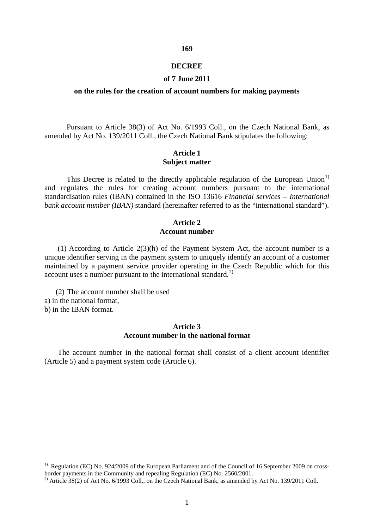#### **DECREE**

**169** 

#### **of 7 June 2011**

#### **on the rules for the creation of account numbers for making payments**

Pursuant to Article 38(3) of Act No. 6/1993 Coll., on the Czech National Bank, as amended by Act No. 139/2011 Coll., the Czech National Bank stipulates the following:

#### **Article 1 Subject matter**

This Decree is related to the directly applicable regulation of the European Union<sup>[1\)](#page-0-0)</sup> and regulates the rules for creating account numbers pursuant to the international standardisation rules (IBAN) contained in the ISO 13616 *Financial services – International bank account number (IBAN)* standard (hereinafter referred to as the "international standard").

#### **Article 2 Account number**

(1) According to Article 2(3)(h) of the Payment System Act, the account number is a unique identifier serving in the payment system to uniquely identify an account of a customer maintained by a payment service provider operating in the Czech Republic which for this account uses a number pursuant to the international standard. [2\)](#page-0-1)

(2) The account number shall be used a) in the national format, b) in the IBAN format.

 $\overline{a}$ 

### **Article 3 Account number in the national format**

The account number in the national format shall consist of a client account identifier (Article 5) and a payment system code (Article 6).

<span id="page-0-0"></span><sup>&</sup>lt;sup>1)</sup> Regulation (EC) No. 924/2009 of the European Parliament and of the Council of 16 September 2009 on crossborder payments in the Community and repealing Regulation (EC) No. 2560/2001.

<span id="page-0-1"></span><sup>&</sup>lt;sup>2)</sup> Article 38(2) of Act No. 6/1993 Coll., on the Czech National Bank, as amended by Act No. 139/2011 Coll.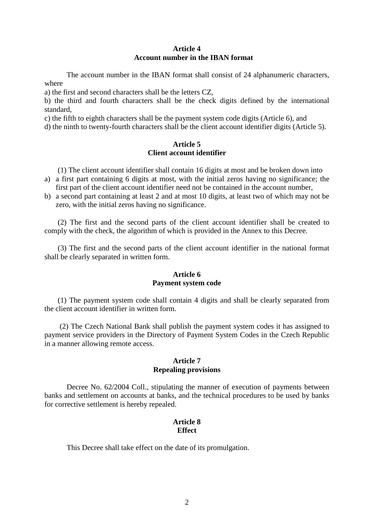# **Article 4 Account number in the IBAN format**

The account number in the IBAN format shall consist of 24 alphanumeric characters, where

a) the first and second characters shall be the letters CZ,

b) the third and fourth characters shall be the check digits defined by the international standard,

c) the fifth to eighth characters shall be the payment system code digits (Article 6), and

d) the ninth to twenty-fourth characters shall be the client account identifier digits (Article 5).

### **Article 5 Client account identifier**

(1) The client account identifier shall contain 16 digits at most and be broken down into

- a) a first part containing 6 digits at most, with the initial zeros having no significance; the first part of the client account identifier need not be contained in the account number,
- b) a second part containing at least 2 and at most 10 digits, at least two of which may not be zero, with the initial zeros having no significance.

(2) The first and the second parts of the client account identifier shall be created to comply with the check, the algorithm of which is provided in the Annex to this Decree.

(3) The first and the second parts of the client account identifier in the national format shall be clearly separated in written form.

# **Article 6 Payment system code**

(1) The payment system code shall contain 4 digits and shall be clearly separated from the client account identifier in written form.

(2) The Czech National Bank shall publish the payment system codes it has assigned to payment service providers in the Directory of Payment System Codes in the Czech Republic in a manner allowing remote access.

#### **Article 7 Repealing provisions**

Decree No. 62/2004 Coll., stipulating the manner of execution of payments between banks and settlement on accounts at banks, and the technical procedures to be used by banks for corrective settlement is hereby repealed.

### **Article 8 Effect**

This Decree shall take effect on the date of its promulgation.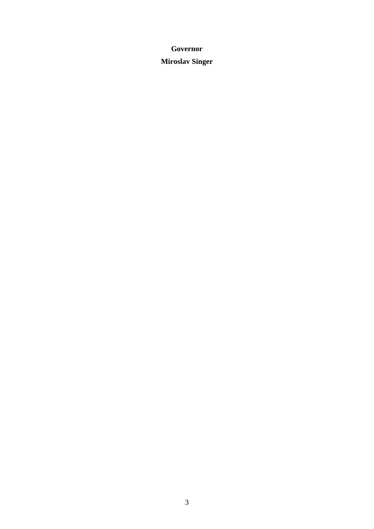# **Governor Miroslav Singer**